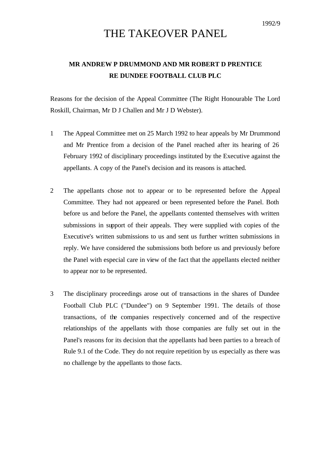## THE TAKEOVER PANEL

## **MR ANDREW P DRUMMOND AND MR ROBERT D PRENTICE RE DUNDEE FOOTBALL CLUB PLC**

Reasons for the decision of the Appeal Committee (The Right Honourable The Lord Roskill, Chairman, Mr D J Challen and Mr J D Webster).

- 1 The Appeal Committee met on 25 March 1992 to hear appeals by Mr Drummond and Mr Prentice from a decision of the Panel reached after its hearing of 26 February 1992 of disciplinary proceedings instituted by the Executive against the appellants. A copy of the Panel's decision and its reasons is attached.
- 2 The appellants chose not to appear or to be represented before the Appeal Committee. They had not appeared or been represented before the Panel. Both before us and before the Panel, the appellants contented themselves with written submissions in support of their appeals. They were supplied with copies of the Executive's written submissions to us and sent us further written submissions in reply. We have considered the submissions both before us and previously before the Panel with especial care in view of the fact that the appellants elected neither to appear nor to be represented.
- 3 The disciplinary proceedings arose out of transactions in the shares of Dundee Football Club PLC ("Dundee") on 9 September 1991. The details of those transactions, of the companies respectively concerned and of the respective relationships of the appellants with those companies are fully set out in the Panel's reasons for its decision that the appellants had been parties to a breach of Rule 9.1 of the Code. They do not require repetition by us especially as there was no challenge by the appellants to those facts.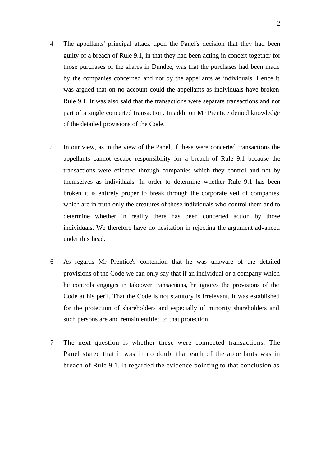- 4 The appellants' principal attack upon the Panel's decision that they had been guilty of a breach of Rule 9.1, in that they had been acting in concert together for those purchases of the shares in Dundee, was that the purchases had been made by the companies concerned and not by the appellants as individuals. Hence it was argued that on no account could the appellants as individuals have broken Rule 9.1. It was also said that the transactions were separate transactions and not part of a single concerted transaction. In addition Mr Prentice denied knowledge of the detailed provisions of the Code.
- 5 In our view, as in the view of the Panel, if these were concerted transactions the appellants cannot escape responsibility for a breach of Rule 9.1 because the transactions were effected through companies which they control and not by themselves as individuals. In order to determine whether Rule 9.1 has been broken it is entirely proper to break through the corporate veil of companies which are in truth only the creatures of those individuals who control them and to determine whether in reality there has been concerted action by those individuals. We therefore have no hesitation in rejecting the argument advanced under this head.
- 6 As regards Mr Prentice's contention that he was unaware of the detailed provisions of the Code we can only say that if an individual or a company which he controls engages in takeover transactions, he ignores the provisions of the Code at his peril. That the Code is not statutory is irrelevant. It was established for the protection of shareholders and especially of minority shareholders and such persons are and remain entitled to that protection.
- 7 The next question is whether these were connected transactions. The Panel stated that it was in no doubt that each of the appellants was in breach of Rule 9.1. It regarded the evidence pointing to that conclusion as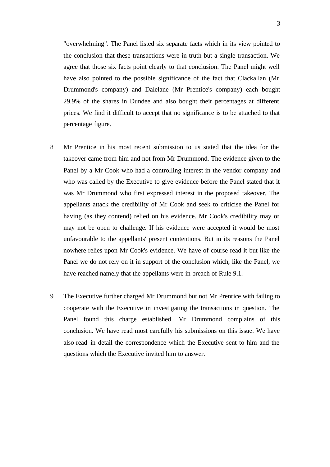"overwhelming". The Panel listed six separate facts which in its view pointed to the conclusion that these transactions were in truth but a single transaction. We agree that those six facts point clearly to that conclusion. The Panel might well have also pointed to the possible significance of the fact that Clackallan (Mr Drummond's company) and Dalelane (Mr Prentice's company) each bought 29.9% of the shares in Dundee and also bought their percentages at different prices. We find it difficult to accept that no significance is to be attached to that percentage figure.

- 8 Mr Prentice in his most recent submission to us stated that the idea for the takeover came from him and not from Mr Drummond. The evidence given to the Panel by a Mr Cook who had a controlling interest in the vendor company and who was called by the Executive to give evidence before the Panel stated that it was Mr Drummond who first expressed interest in the proposed takeover. The appellants attack the credibility of Mr Cook and seek to criticise the Panel for having (as they contend) relied on his evidence. Mr Cook's credibility may or may not be open to challenge. If his evidence were accepted it would be most unfavourable to the appellants' present contentions. But in its reasons the Panel nowhere relies upon Mr Cook's evidence. We have of course read it but like the Panel we do not rely on it in support of the conclusion which, like the Panel, we have reached namely that the appellants were in breach of Rule 9.1.
- 9 The Executive further charged Mr Drummond but not Mr Prentice with failing to cooperate with the Executive in investigating the transactions in question. The Panel found this charge established. Mr Drummond complains of this conclusion. We have read most carefully his submissions on this issue. We have also read in detail the correspondence which the Executive sent to him and the questions which the Executive invited him to answer.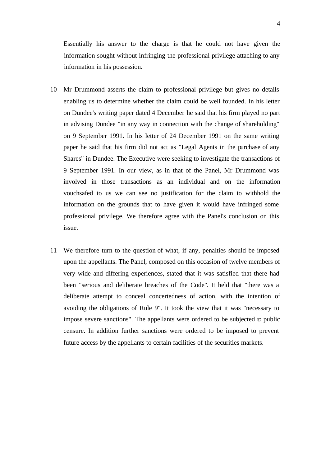Essentially his answer to the charge is that he could not have given the information sought without infringing the professional privilege attaching to any information in his possession.

- 10 Mr Drummond asserts the claim to professional privilege but gives no details enabling us to determine whether the claim could be well founded. In his letter on Dundee's writing paper dated 4 December he said that his firm played no part in advising Dundee "in any way in connection with the change of shareholding" on 9 September 1991. In his letter of 24 December 1991 on the same writing paper he said that his firm did not act as "Legal Agents in the purchase of any Shares" in Dundee. The Executive were seeking to investigate the transactions of 9 September 1991. In our view, as in that of the Panel, Mr Drummond was involved in those transactions as an individual and on the information vouchsafed to us we can see no justification for the claim to withhold the information on the grounds that to have given it would have infringed some professional privilege. We therefore agree with the Panel's conclusion on this issue.
- 11 We therefore turn to the question of what, if any, penalties should be imposed upon the appellants. The Panel, composed on this occasion of twelve members of very wide and differing experiences, stated that it was satisfied that there had been "serious and deliberate breaches of the Code". It held that "there was a deliberate attempt to conceal concertedness of action, with the intention of avoiding the obligations of Rule 9". It took the view that it was "necessary to impose severe sanctions". The appellants were ordered to be subjected to public censure. In addition further sanctions were ordered to be imposed to prevent future access by the appellants to certain facilities of the securities markets.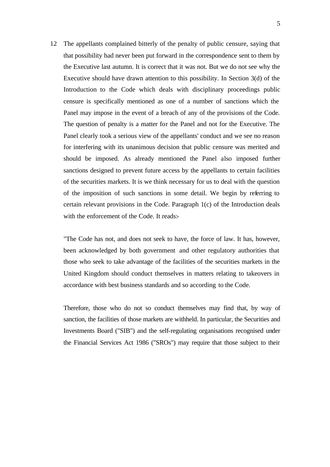12 The appellants complained bitterly of the penalty of public censure, saying that that possibility had never been put forward in the correspondence sent to them by the Executive last autumn. It is correct that it was not. But we do not see why the Executive should have drawn attention to this possibility. In Section 3(d) of the Introduction to the Code which deals with disciplinary proceedings public censure is specifically mentioned as one of a number of sanctions which the Panel may impose in the event of a breach of any of the provisions of the Code. The question of penalty is a matter for the Panel and not for the Executive. The Panel clearly took a serious view of the appellants' conduct and we see no reason for interfering with its unanimous decision that public censure was merited and should be imposed. As already mentioned the Panel also imposed further sanctions designed to prevent future access by the appellants to certain facilities of the securities markets. It is we think necessary for us to deal with the question of the imposition of such sanctions in some detail. We begin by referring to certain relevant provisions in the Code. Paragraph 1(c) of the Introduction deals with the enforcement of the Code. It reads:-

"The Code has not, and does not seek to have, the force of law. It has, however, been acknowledged by both government and other regulatory authorities that those who seek to take advantage of the facilities of the securities markets in the United Kingdom should conduct themselves in matters relating to takeovers in accordance with best business standards and so according to the Code.

Therefore, those who do not so conduct themselves may find that, by way of sanction, the facilities of those markets are withheld. In particular, the Securities and Investments Board ("SIB") and the self-regulating organisations recognised under the Financial Services Act 1986 ("SROs") may require that those subject to their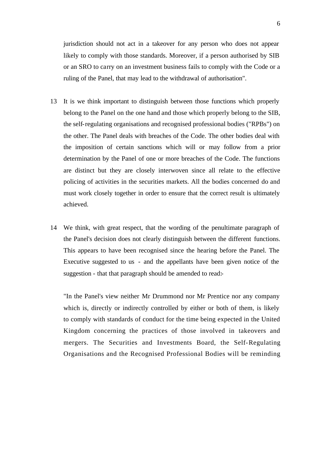jurisdiction should not act in a takeover for any person who does not appear likely to comply with those standards. Moreover, if a person authorised by SIB or an SRO to carry on an investment business fails to comply with the Code or a ruling of the Panel, that may lead to the withdrawal of authorisation".

- 13 It is we think important to distinguish between those functions which properly belong to the Panel on the one hand and those which properly belong to the SIB, the self-regulating organisations and recognised professional bodies ("RPBs") on the other. The Panel deals with breaches of the Code. The other bodies deal with the imposition of certain sanctions which will or may follow from a prior determination by the Panel of one or more breaches of the Code. The functions are distinct but they are closely interwoven since all relate to the effective policing of activities in the securities markets. All the bodies concerned do and must work closely together in order to ensure that the correct result is ultimately achieved.
- 14 We think, with great respect, that the wording of the penultimate paragraph of the Panel's decision does not clearly distinguish between the different functions. This appears to have been recognised since the hearing before the Panel. The Executive suggested to us - and the appellants have been given notice of the suggestion - that that paragraph should be amended to read:-

"In the Panel's view neither Mr Drummond nor Mr Prentice nor any company which is, directly or indirectly controlled by either or both of them, is likely to comply with standards of conduct for the time being expected in the United Kingdom concerning the practices of those involved in takeovers and mergers. The Securities and Investments Board, the Self-Regulating Organisations and the Recognised Professional Bodies will be reminding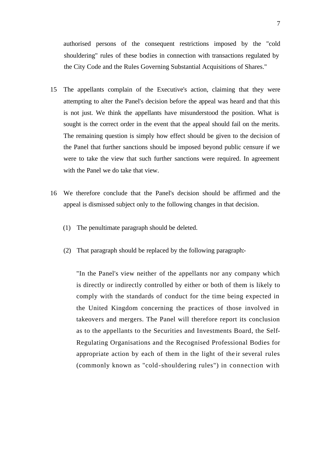authorised persons of the consequent restrictions imposed by the "cold shouldering" rules of these bodies in connection with transactions regulated by the City Code and the Rules Governing Substantial Acquisitions of Shares."

- 15 The appellants complain of the Executive's action, claiming that they were attempting to alter the Panel's decision before the appeal was heard and that this is not just. We think the appellants have misunderstood the position. What is sought is the correct order in the event that the appeal should fail on the merits. The remaining question is simply how effect should be given to the decision of the Panel that further sanctions should be imposed beyond public censure if we were to take the view that such further sanctions were required. In agreement with the Panel we do take that view.
- 16 We therefore conclude that the Panel's decision should be affirmed and the appeal is dismissed subject only to the following changes in that decision.
	- (1) The penultimate paragraph should be deleted.
	- (2) That paragraph should be replaced by the following paragraph:-

"In the Panel's view neither of the appellants nor any company which is directly or indirectly controlled by either or both of them is likely to comply with the standards of conduct for the time being expected in the United Kingdom concerning the practices of those involved in takeovers and mergers. The Panel will therefore report its conclusion as to the appellants to the Securities and Investments Board, the Self-Regulating Organisations and the Recognised Professional Bodies for appropriate action by each of them in the light of the ir several rules (commonly known as "cold-shouldering rules") in connection with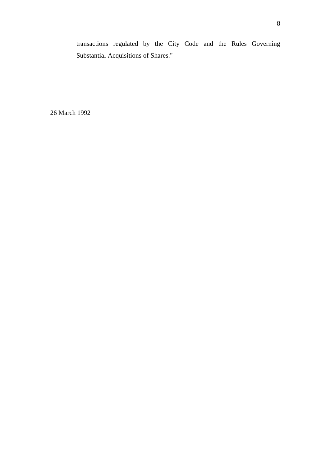transactions regulated by the City Code and the Rules Governing Substantial Acquisitions of Shares."

26 March 1992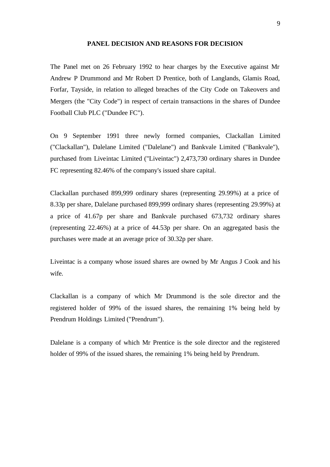## **PANEL DECISION AND REASONS FOR DECISION**

The Panel met on 26 February 1992 to hear charges by the Executive against Mr Andrew P Drummond and Mr Robert D Prentice, both of Langlands, Glamis Road, Forfar, Tayside, in relation to alleged breaches of the City Code on Takeovers and Mergers (the "City Code") in respect of certain transactions in the shares of Dundee Football Club PLC ("Dundee FC").

On 9 September 1991 three newly formed companies, Clackallan Limited ("Clackallan"), Dalelane Limited ("Dalelane") and Bankvale Limited ("Bankvale"), purchased from Liveintac Limited ("Liveintac") 2,473,730 ordinary shares in Dundee FC representing 82.46% of the company's issued share capital.

Clackallan purchased 899,999 ordinary shares (representing 29.99%) at a price of 8.33p per share, Dalelane purchased 899,999 ordinary shares (representing 29.99%) at a price of 41.67p per share and Bankvale purchased 673,732 ordinary shares (representing 22.46%) at a price of 44.53p per share. On an aggregated basis the purchases were made at an average price of 30.32p per share.

Liveintac is a company whose issued shares are owned by Mr Angus J Cook and his wife.

Clackallan is a company of which Mr Drummond is the sole director and the registered holder of 99% of the issued shares, the remaining 1% being held by Prendrum Holdings Limited ("Prendrum").

Dalelane is a company of which Mr Prentice is the sole director and the registered holder of 99% of the issued shares, the remaining 1% being held by Prendrum.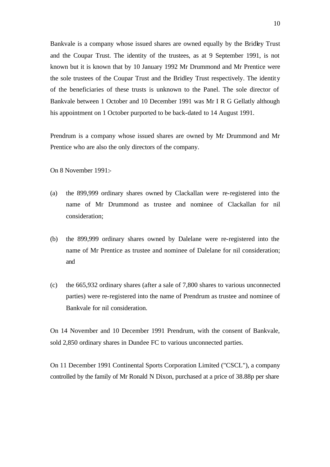Bankvale is a company whose issued shares are owned equally by the Bridley Trust and the Coupar Trust. The identity of the trustees, as at 9 September 1991, is not known but it is known that by 10 January 1992 Mr Drummond and Mr Prentice were the sole trustees of the Coupar Trust and the Bridley Trust respectively. The identity of the beneficiaries of these trusts is unknown to the Panel. The sole director of Bankvale between 1 October and 10 December 1991 was Mr I R G Gellatly although his appointment on 1 October purported to be back-dated to 14 August 1991.

Prendrum is a company whose issued shares are owned by Mr Drummond and Mr Prentice who are also the only directors of the company.

On 8 November 1991:-

- (a) the 899,999 ordinary shares owned by Clackallan were re-registered into the name of Mr Drummond as trustee and nominee of Clackallan for nil consideration;
- (b) the 899,999 ordinary shares owned by Dalelane were re-registered into the name of Mr Prentice as trustee and nominee of Dalelane for nil consideration; and
- (c) the 665,932 ordinary shares (after a sale of 7,800 shares to various unconnected parties) were re-registered into the name of Prendrum as trustee and nominee of Bankvale for nil consideration.

On 14 November and 10 December 1991 Prendrum, with the consent of Bankvale, sold 2,850 ordinary shares in Dundee FC to various unconnected parties.

On 11 December 1991 Continental Sports Corporation Limited ("CSCL"), a company controlled by the family of Mr Ronald N Dixon, purchased at a price of 38.88p per share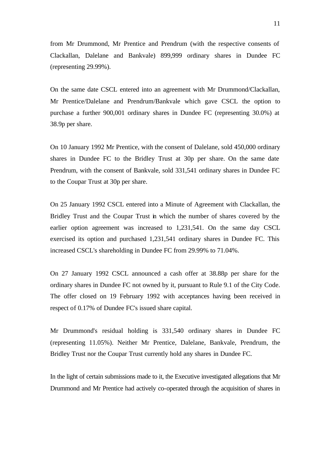from Mr Drummond, Mr Prentice and Prendrum (with the respective consents of Clackallan, Dalelane and Bankvale) 899,999 ordinary shares in Dundee FC (representing 29.99%).

On the same date CSCL entered into an agreement with Mr Drummond/Clackallan, Mr Prentice/Dalelane and Prendrum/Bankvale which gave CSCL the option to purchase a further 900,001 ordinary shares in Dundee FC (representing 30.0%) at 38.9p per share.

On 10 January 1992 Mr Prentice, with the consent of Dalelane, sold 450,000 ordinary shares in Dundee FC to the Bridley Trust at 30p per share. On the same date Prendrum, with the consent of Bankvale, sold 331,541 ordinary shares in Dundee FC to the Coupar Trust at 30p per share.

On 25 January 1992 CSCL entered into a Minute of Agreement with Clackallan, the Bridley Trust and the Coupar Trust in which the number of shares covered by the earlier option agreement was increased to 1,231,541. On the same day CSCL exercised its option and purchased 1,231,541 ordinary shares in Dundee FC. This increased CSCL's shareholding in Dundee FC from 29.99% to 71.04%.

On 27 January 1992 CSCL announced a cash offer at 38.88p per share for the ordinary shares in Dundee FC not owned by it, pursuant to Rule 9.1 of the City Code. The offer closed on 19 February 1992 with acceptances having been received in respect of 0.17% of Dundee FC's issued share capital.

Mr Drummond's residual holding is 331,540 ordinary shares in Dundee FC (representing 11.05%). Neither Mr Prentice, Dalelane, Bankvale, Prendrum, the Bridley Trust nor the Coupar Trust currently hold any shares in Dundee FC.

In the light of certain submissions made to it, the Executive investigated allegations that Mr Drummond and Mr Prentice had actively co-operated through the acquisition of shares in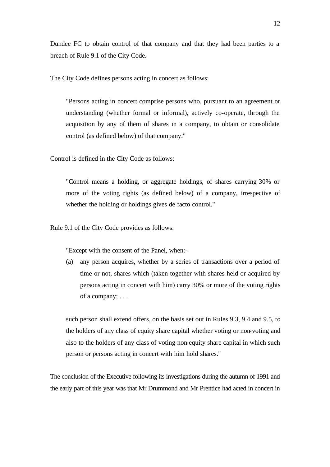Dundee FC to obtain control of that company and that they had been parties to a breach of Rule 9.1 of the City Code.

The City Code defines persons acting in concert as follows:

"Persons acting in concert comprise persons who, pursuant to an agreement or understanding (whether formal or informal), actively co-operate, through the acquisition by any of them of shares in a company, to obtain or consolidate control (as defined below) of that company."

Control is defined in the City Code as follows:

"Control means a holding, or aggregate holdings, of shares carrying 30% or more of the voting rights (as defined below) of a company, irrespective of whether the holding or holdings gives de facto control."

Rule 9.1 of the City Code provides as follows:

"Except with the consent of the Panel, when:-

(a) any person acquires, whether by a series of transactions over a period of time or not, shares which (taken together with shares held or acquired by persons acting in concert with him) carry 30% or more of the voting rights of a company; . . .

such person shall extend offers, on the basis set out in Rules 9.3, 9.4 and 9.5, to the holders of any class of equity share capital whether voting or non-voting and also to the holders of any class of voting non-equity share capital in which such person or persons acting in concert with him hold shares."

The conclusion of the Executive following its investigations during the autumn of 1991 and the early part of this year was that Mr Drummond and Mr Prentice had acted in concert in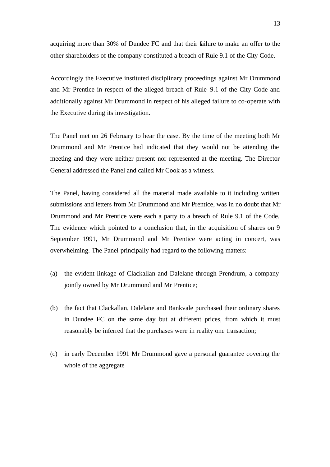acquiring more than 30% of Dundee FC and that their failure to make an offer to the other shareholders of the company constituted a breach of Rule 9.1 of the City Code.

Accordingly the Executive instituted disciplinary proceedings against Mr Drummond and Mr Prentice in respect of the alleged breach of Rule 9.1 of the City Code and additionally against Mr Drummond in respect of his alleged failure to co-operate with the Executive during its investigation.

The Panel met on 26 February to hear the case. By the time of the meeting both Mr Drummond and Mr Prentice had indicated that they would not be attending the meeting and they were neither present nor represented at the meeting. The Director General addressed the Panel and called Mr Cook as a witness.

The Panel, having considered all the material made available to it including written submissions and letters from Mr Drummond and Mr Prentice, was in no doubt that Mr Drummond and Mr Prentice were each a party to a breach of Rule 9.1 of the Code. The evidence which pointed to a conclusion that, in the acquisition of shares on 9 September 1991, Mr Drummond and Mr Prentice were acting in concert, was overwhelming. The Panel principally had regard to the following matters:

- (a) the evident linkage of Clackallan and Dalelane through Prendrum, a company jointly owned by Mr Drummond and Mr Prentice;
- (b) the fact that Clackallan, Dalelane and Bankvale purchased their ordinary shares in Dundee FC on the same day but at different prices, from which it must reasonably be inferred that the purchases were in reality one transaction;
- (c) in early December 1991 Mr Drummond gave a personal guarantee covering the whole of the aggregate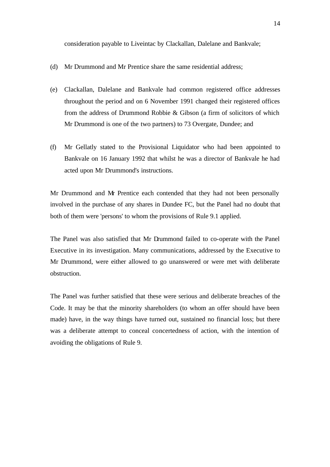consideration payable to Liveintac by Clackallan, Dalelane and Bankvale;

- (d) Mr Drummond and Mr Prentice share the same residential address;
- (e) Clackallan, Dalelane and Bankvale had common registered office addresses throughout the period and on 6 November 1991 changed their registered offices from the address of Drummond Robbie & Gibson (a firm of solicitors of which Mr Drummond is one of the two partners) to 73 Overgate, Dundee; and
- (f) Mr Gellatly stated to the Provisional Liquidator who had been appointed to Bankvale on 16 January 1992 that whilst he was a director of Bankvale he had acted upon Mr Drummond's instructions.

Mr Drummond and Mr Prentice each contended that they had not been personally involved in the purchase of any shares in Dundee FC, but the Panel had no doubt that both of them were 'persons' to whom the provisions of Rule 9.1 applied.

The Panel was also satisfied that Mr Drummond failed to co-operate with the Panel Executive in its investigation. Many communications, addressed by the Executive to Mr Drummond, were either allowed to go unanswered or were met with deliberate obstruction.

The Panel was further satisfied that these were serious and deliberate breaches of the Code. It may be that the minority shareholders (to whom an offer should have been made) have, in the way things have turned out, sustained no financial loss; but there was a deliberate attempt to conceal concertedness of action, with the intention of avoiding the obligations of Rule 9.